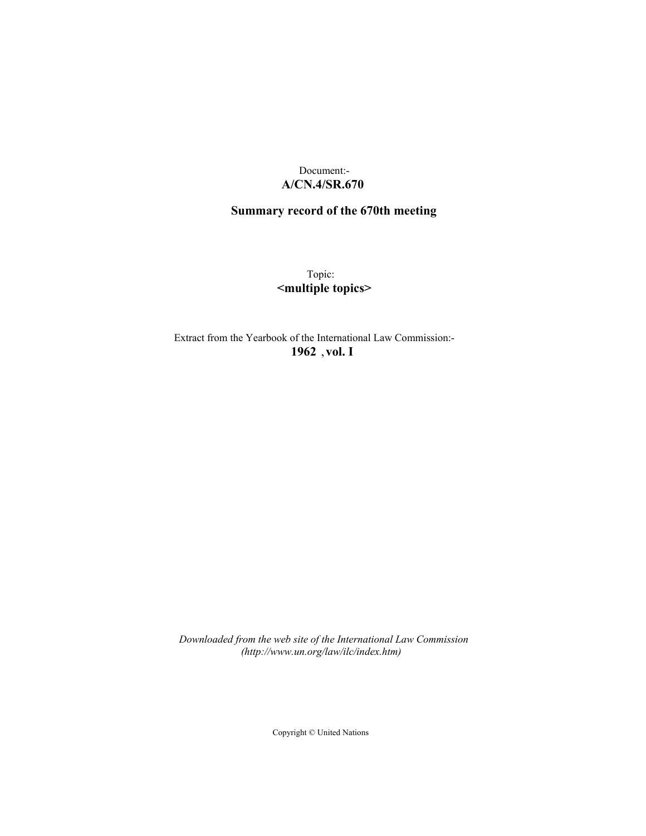## Document:- **A/CN.4/SR.670**

# **Summary record of the 670th meeting**

Topic: **<multiple topics>**

Extract from the Yearbook of the International Law Commission:- **1962** ,**vol. I**

*Downloaded from the web site of the International Law Commission (http://www.un.org/law/ilc/index.htm)*

Copyright © United Nations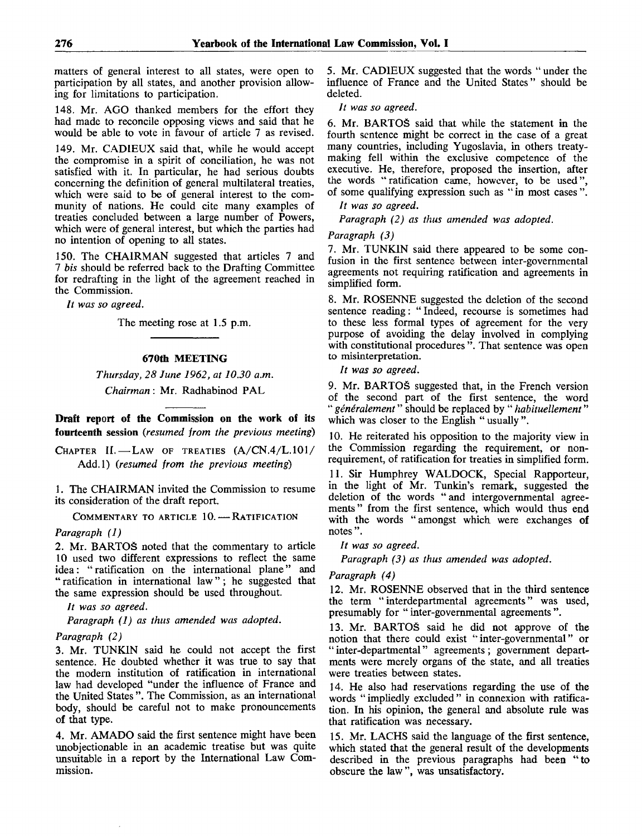matters of general interest to all states, were open to participation by all states, and another provision allowing for limitations to participation.

148. Mr. AGO thanked members for the effort they had made to reconcile opposing views and said that he would be able to vote in favour of article 7 as revised.

149. Mr. CAD1EUX said that, while he would accept the compromise in a spirit of conciliation, he was not satisfied with it. In particular, he had serious doubts concerning the definition of general multilateral treaties, which were said to be of general interest to the community of nations. He could cite many examples of treaties concluded between a large number of Powers, which were of general interest, but which the parties had no intention of opening to all states.

150. The CHAIRMAN suggested that articles 7 and 7 *bis* should be referred back to the Drafting Committee for redrafting in the light of the agreement reached in the Commission.

*It was so agreed.*

The meeting rose at 1.5 p.m.

### **670th MEETING**

*Thursday, 28 June 1962, at 10.30 a.m. Chairman*: Mr. Radhabinod PAL

**Draft report of the Commission on the work of its fourteenth session** *(resumed from the previous meeting)*

CHAPTER II. — LAW OF TREATIES (A/CN.4/L.101/ Add.l) *(resumed from the previous meeting)*

1. The CHAIRMAN invited the Commission to resume its consideration of the draft report.

COMMENTARY TO ARTICLE 10. — RATIFICATION

#### *Paragraph (1)*

*2.* Mr. BARTOS noted that the commentary to article 10 used two different expressions to reflect the same idea: "ratification on the international plane" and " ratification in international law"; he suggested that the same expression should be used throughout.

*It was so agreed.*

*Paragraph (1) as thus amended was adopted.*

#### *Paragraph (2)*

3. Mr. TUNKIN said he could not accept the first sentence. He doubted whether it was true to say that the modern institution of ratification in international law had developed "under the influence of France and the United States ". The Commission, as an international body, should be careful not to make pronouncements of that type.

4. Mr. AMADO said the first sentence might have been unobjectionable in an academic treatise but was quite unsuitable in a report by the International Law Commission.

5. Mr. CAD1EUX suggested that the words " under the influence of France and the United States" should be deleted.

// *was so agreed.*

6. Mr. BARTOS said that while the statement in the fourth sentence might be correct in the case of a great many countries, including Yugoslavia, in others treatymaking fell within the exclusive competence of the executive. He, therefore, proposed the insertion, after the words "ratification came, however, to be used", of some qualifying expression such as " in most cases ".

*It was so agreed.*

*Paragraph (2) as thus amended was adopted.*

#### *Paragraph (3)*

*I.* Mr. TUNKIN said there appeared to be some confusion in the first sentence between inter-governmental agreements not requiring ratification and agreements in simplified form.

8. Mr. ROSENNE suggested the deletion of the second sentence reading: "Indeed, recourse is sometimes had to these less formal types of agreement for the very purpose of avoiding the delay involved in complying with constitutional procedures ". That sentence was open to misinterpretation.

*It was so agreed.*

*9.* Mr. BARTOS suggested that, in the French version of the second part of the first sentence, the word " *generalement*" should be replaced by " *habituellement*" which was closer to the English " usually ".

10. He reiterated his opposition to the majority view in the Commission regarding the requirement, or nonrequirement, of ratification for treaties in simplified form.

II. Sir Humphrey WALDOCK, Special Rapporteur, in the light of Mr. Tunkin's remark, suggested the deletion of the words " and intergovernmental agreements" from the first sentence, which would thus end with the words " amongst which were exchanges of notes ".

*It was so agreed.*

*Paragraph (3) as thus amended was adopted.*

#### *Paragraph (4)*

12. Mr. ROSENNE observed that in the third sentence the term "interdepartmental agreements" was used, presumably for " inter-governmental agreements ".

13. Mr. BARTOS said he did not approve of the notion that there could exist "inter-governmental" or " inter-departmental" agreements ; government departments were merely organs of the state, and all treaties were treaties between states.

14. He also had reservations regarding the use of the words " impliedly excluded " in connexion with ratification. In his opinion, the general and absolute rule was that ratification was necessary.

15. Mr. LACHS said the language of the first sentence, which stated that the general result of the developments described in the previous paragraphs had been "to obscure the law ", was unsatisfactory.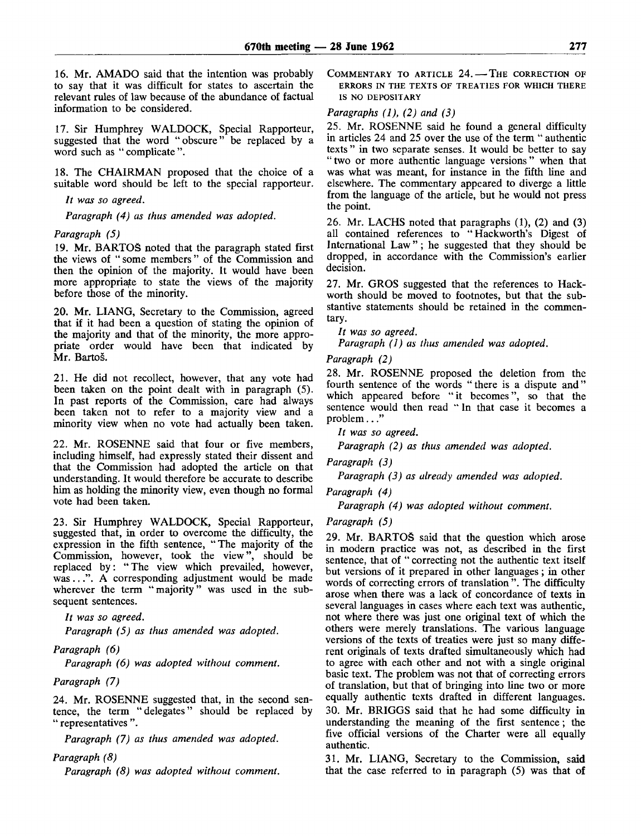16. Mr. AMADO said that the intention was probably to say that it was difficult for states to ascertain the relevant rules of law because of the abundance of factual information to be considered.

17. Sir Humphrey WALDOCK, Special Rapporteur, suggested that the word "obscure" be replaced by a word such as " complicate ".

18. The CHAIRMAN proposed that the choice of a suitable word should be left to the special rapporteur.

*It was so agreed.*

*Paragraph (4) as thus amended was adopted.*

### *Paragraph (5)*

19. Mr. BARTOS noted that the paragraph stated first the views of "some members" of the Commission and then the opinion of the majority. It would have been more appropriate to state the views of the majority before those of the minority.

20. Mr. LIANG, Secretary to the Commission, agreed that if it had been a question of stating the opinion of the majority and that of the minority, the more appropriate order would have been that indicated by Mr. Bartos.

21. He did not recollect, however, that any vote had been taken on the point dealt with in paragraph (5). In past reports of the Commission, care had always been taken not to refer to a majority view and a minority view when no vote had actually been taken.

22. Mr. ROSENNE said that four or five members, including himself, had expressly stated their dissent and that the Commission had adopted the article on that understanding. It would therefore be accurate to describe him as holding the minority view, even though no formal vote had been taken.

23. Sir Humphrey WALDOCK, Special Rapporteur, suggested that, in order to overcome the difficulty, the expression in the fifth sentence, "The majority of the Commission, however, took the view", should be replaced by: "The view which prevailed, however, was...". A corresponding adjustment would be made wherever the term "majority" was used in the subsequent sentences.

*It was so agreed.*

*Paragraph (5) as thus amended was adopted.*

### *Paragraph (6)*

*Paragraph (6) was adopted without comment.*

### *Paragraph (7)*

24. Mr. ROSENNE suggested that, in the second sentence, the term "delegates" should be replaced by " representatives ".

*Paragraph (7) as thus amended was adopted.*

### *Paragraph (8)*

*Paragraph (8) was adopted without comment.*

COMMENTARY TO ARTICLE 24. — THE CORRECTION OF ERRORS IN THE TEXTS OF TREATIES FOR WHICH THERE IS NO DEPOSITARY

### *Paragraphs (1), (2) and (3)*

25. Mr. ROSENNE said he found a general difficulty in articles 24 and 25 over the use of the term " authentic texts " in two separate senses. It would be better to say "two or more authentic language versions" when that was what was meant, for instance in the fifth line and elsewhere. The commentary appeared to diverge a little from the language of the article, but he would not press the point.

26. Mr. LACHS noted that paragraphs (1), (2) and (3) all contained references to "Hackworth's Digest of International Law" ; he suggested that they should be dropped, in accordance with the Commission's earlier decision.

27. Mr. GROS suggested that the references to Hackworth should be moved to footnotes, but that the substantive statements should be retained in the commentary.

// *was so agreed.*

*Paragraph (1) as thus amended was adopted.*

*Paragraph (2)*

28. Mr. ROSENNE proposed the deletion from the fourth sentence of the words "there is a dispute and" which appeared before "it becomes", so that the sentence would then read " In that case it becomes a problem..."

*It was so agreed.*

*Paragraph (2) as thus amended was adopted.*

*Paragraph (3)*

*Paragraph (3) as already amended was adopted.*

*Paragraph (4)*

*Paragraph (4) was adopted without comment.*

*Paragraph (5)*

29. Mr. BARTOS said that the question which arose in modern practice was not, as described in the first sentence, that of " correcting not the authentic text itself but versions of it prepared in other languages ; in other words of correcting errors of translation ". The difficulty arose when there was a lack of concordance of texts in several languages in cases where each text was authentic, not where there was just one original text of which the others were merely translations. The various language versions of the texts of treaties were just so many different originals of texts drafted simultaneously which had to agree with each other and not with a single original basic text. The problem was not that of correcting errors of translation, but that of bringing into line two or more equally authentic texts drafted in different languages. 30. Mr. BRIGGS said that he had some difficulty in understanding the meaning of the first sentence; the five official versions of the Charter were all equally authentic.

31. Mr. LIANG, Secretary to the Commission, said that the case referred to in paragraph (5) was that of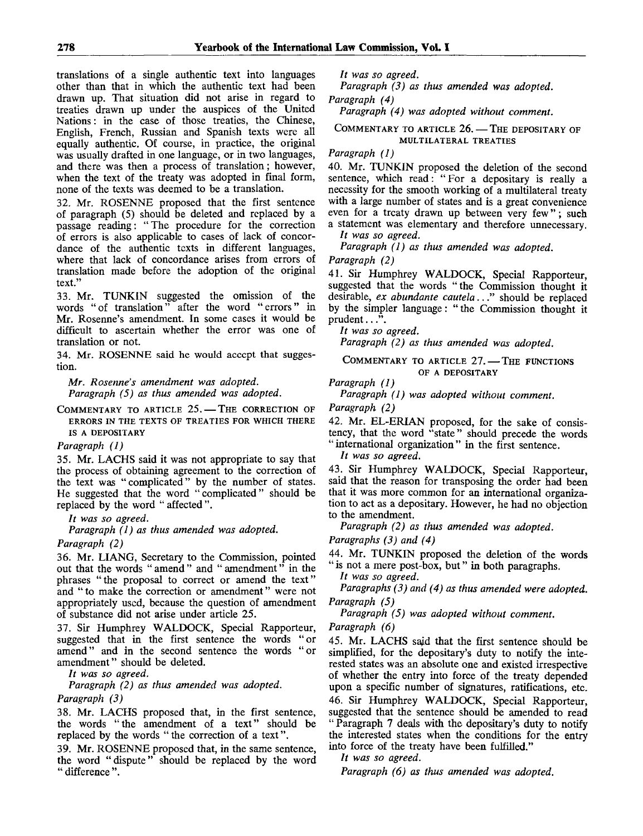translations of a single authentic text into languages other than that in which the authentic text had been drawn up. That situation did not arise in regard to treaties drawn up under the auspices of the United Nations: in the case of those treaties, the Chinese, English, French, Russian and Spanish texts were all equally authentic. Of course, in practice, the original was usually drafted in one language, or in two languages, and there was then a process of translation; however, when the text of the treaty was adopted in final form, none of the texts was deemed to be a translation.

32. Mr. ROSENNE proposed that the first sentence of paragraph (5) should be deleted and replaced by a passage reading: "The procedure for the correction of errors is also applicable to cases of lack of concordance of the authentic texts in different languages, where that lack of concordance arises from errors of translation made before the adoption of the original text."

33. Mr. TUNKIN suggested the omission of the words "of translation" after the word "errors" in Mr. Rosenne's amendment. In some cases it would be difficult to ascertain whether the error was one of translation or not.

34. Mr. ROSENNE said he would accept that suggestion.

*Mr. Rosenne's amendment was adopted. Paragraph (5) as thus amended was adopted.*

COMMENTARY TO ARTICLE 25. — THE CORRECTION OF ERRORS IN THE TEXTS OF TREATIES FOR WHICH THERE IS A DEPOSITARY

*Paragraph (1)*

35. Mr. LACHS said it was not appropriate to say that the process of obtaining agreement to the correction of the text was "complicated" by the number of states. He suggested that the word "complicated" should be replaced by the word " affected".

*It was so agreed.*

*Paragraph (1) as thus amended was adopted.*

*Paragraph (2)*

36. Mr. LIANG, Secretary to the Commission, pointed out that the words " amend " and " amendment" in the phrases "the proposal to correct or amend the text" and "to make the correction or amendment" were not appropriately used, because the question of amendment of substance did not arise under article 25.

37. Sir Humphrey WALDOCK, Special Rapporteur, suggested that in the first sentence the words "or amend" and in the second sentence the words "or amendment" should be deleted.

*It was so agreed.*

*Paragraph (2) as thus amended was adopted.*

*Paragraph (3)*

38. Mr. LACHS proposed that, in the first sentence, the words "the amendment of a text" should be replaced by the words "the correction of a text".

39. Mr. ROSENNE proposed that, in the same sentence, the word "dispute" should be replaced by the word "difference".

*It was so agreed.*

*Paragraph (3) as thus amended was adopted. Paragraph (4)*

*Paragraph (4) was adopted without comment.*

COMMENTARY TO ARTICLE 26. — THE DEPOSITARY OF MULTILATERAL TREATIES

*Paragraph (1)*

40. Mr. TUNKIN proposed the deletion of the second sentence, which read: "For a depositary is really a necessity for the smooth working of a multilateral treaty with a large number of states and is a great convenience even for a treaty drawn up between very few" ; such a statement was elementary and therefore unnecessary.

// *was so agreed.*

*Paragraph (1) as thus amended was adopted.*

*Paragraph (2)*

41. Sir Humphrey WALDOCK, Special Rapporteur, suggested that the words "the Commission thought it desirable, *ex abundante cautela..*." should be replaced by the simpler language: " the Commission thought it prudent...".

*It was so agreed.*

*Paragraph (2) as thus amended was adopted.*

#### COMMENTARY TO ARTICLE 27. — THE FUNCTIONS OF A DEPOSITARY

*Paragraph (1)*

*Paragraph (1) was adopted without comment.*

*Paragraph (2)*

42. Mr. EL-ERIAN proposed, for the sake of consistency, that the word "state" should precede the words "international organization" in the first sentence.

*It was so agreed.*

43. Sir Humphrey WALDOCK, Special Rapporteur, said that the reason for transposing the order had been that it was more common for an international organization to act as a depositary. However, he had no objection to the amendment.

*Paragraph (2) as thus amended was adopted. Paragraphs (3) and (4)*

44. Mr. TUNKIN proposed the deletion of the words " is not a mere post-box, but" in both paragraphs.

*It was so agreed.*

*Paragraphs (3) and (4) as thus amended were adopted. Paragraph (5)*

*Paragraph (5) was adopted without comment.*

*Paragraph (6)*

45. Mr. LACHS said that the first sentence should be simplified, for the depositary's duty to notify the interested states was an absolute one and existed irrespective of whether the entry into force of the treaty depended upon a specific number of signatures, ratifications, etc. 46. Sir Humphrey WALDOCK, Special Rapporteur, suggested that the sentence should be amended to read " Paragraph 7 deals with the depositary's duty to notify the interested states when the conditions for the entry into force of the treaty have been fulfilled."

*It was so agreed.*

*Paragraph (6) as thus amended was adopted.*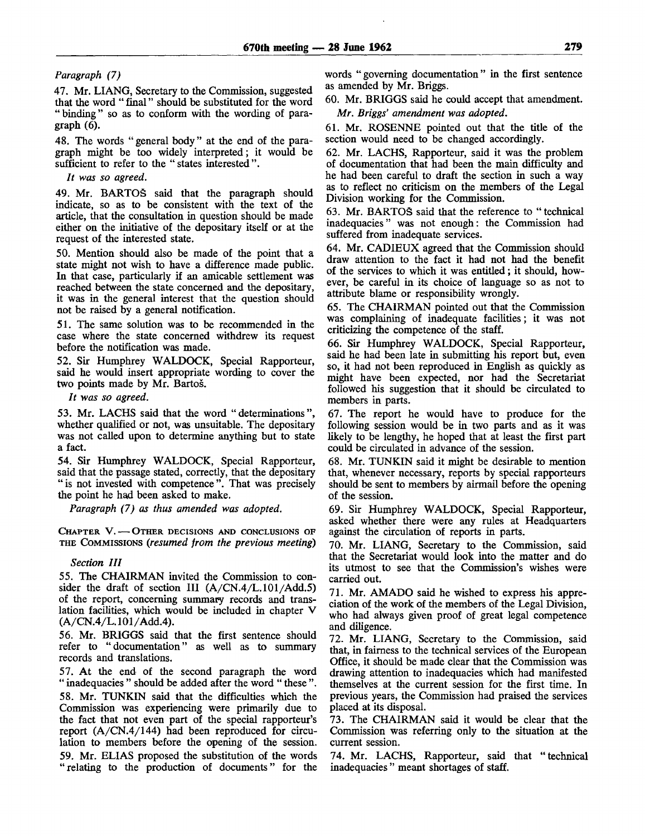#### *Paragraph (7)*

47. Mr. LIANG, Secretary to the Commission, suggested that the word " final" should be substituted for the word " binding" so as to conform with the wording of paragraph (6).

48. The words "general body" at the end of the paragraph might be too widely interpreted; it would be sufficient to refer to the "states interested".

*It was so agreed.*

49. Mr. BARTOS said that the paragraph should indicate, so as to be consistent with the text of the article, that the consultation in question should be made either on the initiative of the depositary itself or at the request of the interested state.

50. Mention should also be made of the point that a state might not wish to have a difference made public. In that case, particularly if an amicable settlement was reached between the state concerned and the depositary, it was in the general interest that the question should not be raised by a general notification.

51. The same solution was to be recommended in the case where the state concerned withdrew its request before the notification was made.

52. Sir Humphrey WALDOCK, Special Rapporteur, said he would insert appropriate wording to cover the two points made by Mr. Bartos.

*It was so agreed.*

53. Mr. LACHS said that the word "determinations", whether qualified or not, was unsuitable. The depositary was not called upon to determine anything but to state a fact.

54. Sir Humphrey WALDOCK, Special Rapporteur, said that the passage stated, correctly, that the depositary " is not invested with competence". That was precisely the point he had been asked to make.

*Paragraph (7) as thus amended was adopted.*

CHAPTER V. — OTHER DECISIONS AND CONCLUSIONS OF THE COMMISSIONS *(resumed from the previous meeting)*

#### *Section HI*

55. The CHAIRMAN invited the Commission to consider the draft of section III  $(A/CN.4/L.101/Add.5)$ of the report, concerning summary records and translation facilities, which would be included in chapter V  $(A/CN.4/L.101/Add.4)$ .

56. Mr. BRIGGS said that the first sentence should refer to "documentation" as well as to summary records and translations.

57. At the end of the second paragraph the word " inadequacies " should be added after the word " these". 58. Mr. TUNKIN said that the difficulties which the Commission was experiencing were primarily due to the fact that not even part of the special rapporteur's report (A/CN.4/144) had been reproduced for circulation to members before the opening of the session. 59. Mr. ELIAS proposed the substitution of the words "relating to the production of documents" for the

words "governing documentation" in the first sentence as amended by Mr. Briggs.

60. Mr. BRIGGS said he could accept that amendment. *Mr. Briggs' amendment was adopted.*

61. Mr. ROSENNE pointed out that the title of the section would need to be changed accordingly.

62. Mr. LACHS, Rapporteur, said it was the problem of documentation that had been the main difficulty and he had been careful to draft the section in such a way as to reflect no criticism on the members of the Legal Division working for the Commission.

63. Mr. BARTOS said that the reference to "technical inadequacies" was not enough: the Commission had suffered from inadequate services.

64. Mr. CADIEUX agreed that the Commission should draw attention to the fact it had not had the benefit of the services to which it was entitled; it should, however, be careful in its choice of language so as not to attribute blame or responsibility wrongly.

65. The CHAIRMAN pointed out that the Commission was complaining of inadequate facilities; it was not criticizing the competence of the staff.

66. Sir Humphrey WALDOCK, Special Rapporteur, said he had been late in submitting his report but, even so, it had not been reproduced in English as quickly as might have been expected, nor had the Secretariat followed his suggestion that it should be circulated to members in parts.

67. The report he would have to produce for the following session would be in two parts and as it was likely to be lengthy, he hoped that at least the first part could be circulated in advance of the session.

68. Mr. TUNKIN said it might be desirable to mention that, whenever necessary, reports by special rapporteurs should be sent to members by airmail before the opening of the session.

69. Sir Humphrey WALDOCK, Special Rapporteur, asked whether there were any rules at Headquarters against the circulation of reports in parts.

70. Mr. LIANG, Secretary to the Commission, said that the Secretariat would look into the matter and do its utmost to see that the Commission's wishes were carried out.

71. Mr. AMADO said he wished to express his appreciation of the work of the members of the Legal Division, who had always given proof of great legal competence and diligence.

72. Mr. LIANG, Secretary to the Commission, said that, in fairness to the technical services of the European Office, it should be made clear that the Commission was drawing attention to inadequacies which had manifested themselves at the current session for the first time. In previous years, the Commission had praised the services placed at its disposal.

73. The CHAIRMAN said it would be clear that the Commission was referring only to the situation at the current session.

74. Mr. LACHS, Rapporteur, said that "technical inadequacies " meant shortages of staff.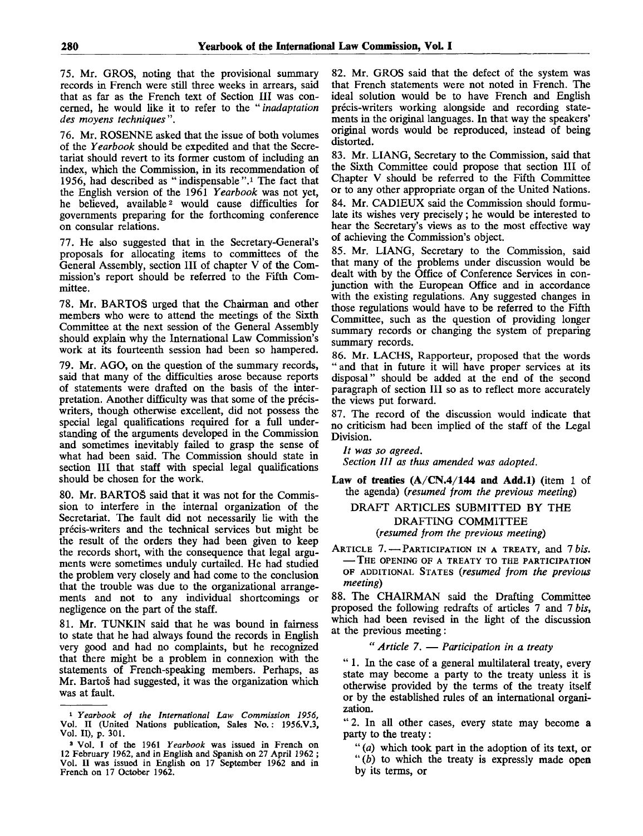75. Mr. GROS, noting that the provisional summary records in French were still three weeks in arrears, said that as far as the French text of Section III was concerned, he would like it to refer to the " *inadaptation des moyens techniques".*

76. Mr. ROSENNE asked that the issue of both volumes of the *Yearbook* should be expedited and that the Secretariat should revert to its former custom of including an index, which the Commission, in its recommendation of 1956, had described as "indispensable".<sup>1</sup> The fact that the English version of the 1961 *Yearbook* was not yet, he believed, available<sup>2</sup> would cause difficulties for governments preparing for the forthcoming conference on consular relations.

77. He also suggested that in the Secretary-General's proposals for allocating items to committees of the General Assembly, section III of chapter V of the Commission's report should be referred to the Fifth Committee.

78. Mr. BARTOS urged that the Chairman and other members who were to attend the meetings of the Sixth Committee at the next session of the General Assembly should explain why the International Law Commission's work at its fourteenth session had been so hampered.

79. Mr. AGO, on the question of the summary records, said that many of the difficulties arose because reports of statements were drafted on the basis of the interpretation. Another difficulty was that some of the preciswriters, though otherwise excellent, did not possess the special legal qualifications required for a full understanding of the arguments developed in the Commission and sometimes inevitably failed to grasp the sense of what had been said. The Commission should state in section III that staff with special legal qualifications should be chosen for the work.

80. Mr. BARTOS said that it was not for the Commission to interfere in the internal organization of the Secretariat. The fault did not necessarily lie with the precis-writers and the technical services but might be the result of the orders they had been given to keep the records short, with the consequence that legal arguments were sometimes unduly curtailed. He had studied the problem very closely and had come to the conclusion that the trouble was due to the organizational arrangements and not to any individual shortcomings or negligence on the part of the staff.

81. Mr. TUNKIN said that he was bound in fairness to state that he had always found the records in English very good and had no complaints, but he recognized that there might be a problem in connexion with the statements of French-speaking members. Perhaps, as Mr. Bartoš had suggested, it was the organization which was at fault.

82. Mr. GROS said that the defect of the system was that French statements were not noted in French. The ideal solution would be to have French and English précis-writers working alongside and recording statements in the original languages. In that way the speakers' original words would be reproduced, instead of being distorted.

83. Mr. LIANG, Secretary to the Commission, said that the Sixth Committee could propose that section III of Chapter V should be referred to the Fifth Committee or to any other appropriate organ of the United Nations. 84. Mr. CAD1EUX said the Commission should formulate its wishes very precisely; he would be interested to hear the Secretary's views as to the most effective way of achieving the Commission's object.

85. Mr. LIANG, Secretary to the Commission, said that many of the problems under discussion would be dealt with by the Office of Conference Services in conjunction with the European Office and in accordance with the existing regulations. Any suggested changes in those regulations would have to be referred to the Fifth Committee, such as the question of providing longer summary records or changing the system of preparing summary records.

86. Mr. LACHS, Rapporteur, proposed that the words " and that in future it will have proper services at its disposal" should be added at the end of the second paragraph of section 111 so as to reflect more accurately the views put forward.

87. The record of the discussion would indicate that no criticism had been implied of the staff of the Legal Division.

// *was so agreed. Section HI as thus amended was adopted.*

**Law of treaties (A/CN.4/144 and Add.l)** (item 1 of the agenda) *{resumed from the previous meeting)*

### DRAFT ARTICLES SUBMITTED BY THE DRAFTING COMMITTEE *(resumed from the previous meeting)*

ARTICLE 7. — PARTICIPATION IN A TREATY, and 7 *bis.* — THE OPENING OF A TREATY TO THE PARTICIPATION OF ADDITIONAL STATES *{resumed from the previous meeting)*

88. The CHAIRMAN said the Drafting Committee proposed the following redrafts of articles 7 and 7 *bis,* which had been revised in the light of the discussion at the previous meeting:

### " *Article 7.* — *Participation in a treaty*

" 1. In the case of a general multilateral treaty, every state may become a party to the treaty unless it is otherwise provided by the terms of the treaty itself or by the established rules of an international organization.

"2. In all other cases, every state may become a party to the treaty:

" *(a)* which took part in the adoption of its text, or " $(b)$  to which the treaty is expressly made open by its terms, or

<sup>1</sup>  *Yearbook of the International Law Commission 1956,* Vol. II (United Nations publication, Sales No.: 1956.V.3, Vol. II), p. 301.

<sup>2</sup> Vol. I of the 1961 *Yearbook* was issued in French on 12 February 1962, and in English and Spanish on 27 April 1962 ; Vol. II was issued in English on 17 September 1962 and in French on 17 October 1962.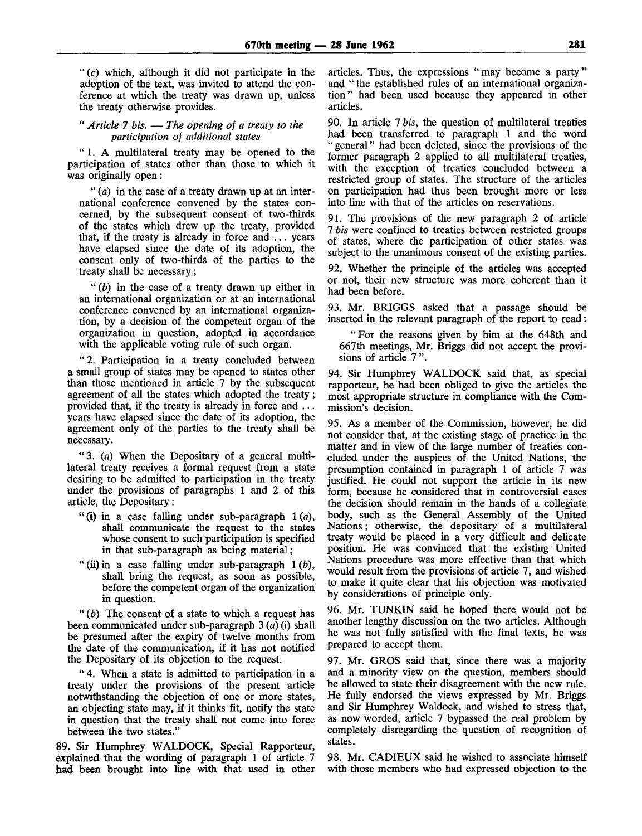$'(c)$  which, although it did not participate in the adoption of the text, was invited to attend the conference at which the treaty was drawn up, unless the treaty otherwise provides.

" *Article 7 bis.* — *The opening of a treaty to the participation of additional states*

" 1. A multilateral treaty may be opened to the participation of states other than those to which it was originally open:

" *(a)* in the case of a treaty drawn up at an international conference convened by the states concerned, by the subsequent consent of two-thirds of the states which drew up the treaty, provided that, if the treaty is already in force and ... years have elapsed since the date of its adoption, the consent only of two-thirds of the parties to the treaty shall be necessary ;

" *ib)* in the case of a treaty drawn up either in an international organization or at an international conference convened by an international organization, by a decision of the competent organ of the organization in question, adopted in accordance with the applicable voting rule of such organ.

"2. Participation in a treaty concluded between a small group of states may be opened to states other than those mentioned in article 7 by the subsequent agreement of all the states which adopted the treaty; provided that, if the treaty is already in force and ... years have elapsed since the date of its adoption, the agreement only of the parties to the treaty shall be necessary.

" 3 . *(a)* When the Depositary of a general multilateral treaty receives a formal request from a state desiring to be admitted to participation in the treaty under the provisions of paragraphs 1 and 2 of this article, the Depositary:

- " (i) in a case falling under sub-paragraph 1 *(a),* shall communicate the request to the states whose consent to such participation is specified in that sub-paragraph as being material;
- " (ii) in a case falling under sub-paragraph 1 *(b),* shall bring the request, as soon as possible, before the competent organ of the organization in question.

" *(b)* The consent of a state to which a request has been communicated under sub-paragraph 3 *(a)* (i) shall be presumed after the expiry of twelve months from the date of the communication, if it has not notified the Depositary of its objection to the request.

" 4. When a state is admitted to participation in a treaty under the provisions of the present article notwithstanding the objection of one or more states, an objecting state may, if it thinks fit, notify the state in question that the treaty shall not come into force between the two states."

89. Sir Humphrey WALDOCK, Special Rapporteur, explained that the wording of paragraph 1 of article 7 had been brought into line with that used in other articles. Thus, the expressions "may become a party" and " the established rules of an international organization" had been used because they appeared in other articles.

90. In article 7 *bis,* the question of multilateral treaties had been transferred to paragraph 1 and the word general" had been deleted, since the provisions of the former paragraph 2 applied to all multilateral treaties, with the exception of treaties concluded between a restricted group of states. The structure of the articles on participation had thus been brought more or less into line with that of the articles on reservations.

91. The provisions of the new paragraph 2 of article 7 *bis* were confined to treaties between restricted groups of states, where the participation of other states was subject to the unanimous consent of the existing parties.

92. Whether the principle of the articles was accepted or not, their new structure was more coherent than it had been before.

93. Mr. BRIGGS asked that a passage should be inserted in the relevant paragraph of the report to read:

"For the reasons given by him at the 648th and 667th meetings, Mr. Briggs did not accept the provisions of article 7 ".

94. Sir Humphrey WALDOCK said that, as special rapporteur, he had been obliged to give the articles the most appropriate structure in compliance with the Commission's decision.

95. As a member of the Commission, however, he did not consider that, at the existing stage of practice in the matter and in view of the large number of treaties concluded under the auspices of the United Nations, the presumption contained in paragraph 1 of article 7 was justified. He could not support the article in its new form, because he considered that in controversial cases the decision should remain in the hands of a collegiate body, such as the General Assembly of the United Nations; otherwise, the depositary of a multilateral treaty would be placed in a very difficult and delicate position. He was convinced that the existing United Nations procedure was more effective than that which would result from the provisions of article 7, and wished to make it quite clear that his objection was motivated by considerations of principle only.

96. Mr. TUNKIN said he hoped there would not be another lengthy discussion on the two articles. Although he was not fully satisfied with the final texts, he was prepared to accept them.

97. Mr. GROS said that, since there was a majority and a minority view on the question, members should be allowed to state their disagreement with the new rule. He fully endorsed the views expressed by Mr. Briggs and Sir Humphrey Waldock, and wished to stress that, as now worded, article 7 bypassed the real problem by completely disregarding the question of recognition of states.

98. Mr. CAD1EUX said he wished to associate himself with those members who had expressed objection to the